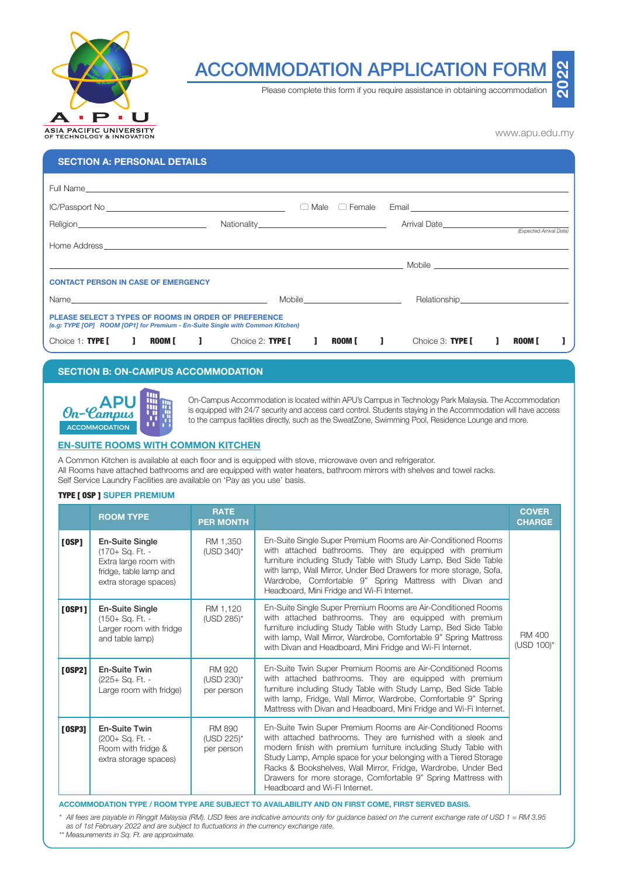

# ACCOMMODATION APPLICATION FORM

Please complete this form if you require assistance in obtaining accommodation

www.apu.edu.my

**2022**

| <b>SECTION A: PERSONAL DETAILS</b>                                                                                                                                                                                                   |                  |                           |                                                                                                                                                                                                                                      |                         |  |
|--------------------------------------------------------------------------------------------------------------------------------------------------------------------------------------------------------------------------------------|------------------|---------------------------|--------------------------------------------------------------------------------------------------------------------------------------------------------------------------------------------------------------------------------------|-------------------------|--|
|                                                                                                                                                                                                                                      |                  |                           |                                                                                                                                                                                                                                      |                         |  |
|                                                                                                                                                                                                                                      |                  |                           |                                                                                                                                                                                                                                      |                         |  |
|                                                                                                                                                                                                                                      |                  | $\Box$ Male $\Box$ Female | Email <b>Executive Contract Contract Contract Contract Contract Contract Contract Contract Contract Contract Contract Contract Contract Contract Contract Contract Contract Contract Contract Contract Contract Contract Contrac</b> |                         |  |
|                                                                                                                                                                                                                                      |                  |                           | Arrival Date <b>Example 20</b>                                                                                                                                                                                                       |                         |  |
|                                                                                                                                                                                                                                      |                  |                           |                                                                                                                                                                                                                                      | (Expected Arrival Date) |  |
|                                                                                                                                                                                                                                      |                  |                           |                                                                                                                                                                                                                                      |                         |  |
| <b>Example 2018 The Contract of Contract Contract of Contract Contract Contract Contract Contract Contract Contract Contract Contract Contract Contract Contract Contract Contract Contract Contract Contract Contract Contract </b> |                  |                           |                                                                                                                                                                                                                                      |                         |  |
| <b>CONTACT PERSON IN CASE OF EMERGENCY</b>                                                                                                                                                                                           |                  |                           |                                                                                                                                                                                                                                      |                         |  |
|                                                                                                                                                                                                                                      |                  |                           | Relationship Property and the control of the control of the control of the control of the control of the control of the control of the control of the control of the control of the control of the control of the control of t       |                         |  |
| <b>PLEASE SELECT 3 TYPES OF ROOMS IN ORDER OF PREFERENCE</b><br>(e.g: TYPE [OP] ROOM [OP1] for Premium - En-Suite Single with Common Kitchen)                                                                                        |                  |                           |                                                                                                                                                                                                                                      |                         |  |
| Choice 1: TYPE [ ] ROOM [ ]                                                                                                                                                                                                          | Choice 2: TYPE I | $\blacksquare$<br>ROOM I  | Choice 3: TYPE I                                                                                                                                                                                                                     | <b>ROOM I</b>           |  |

# **SECTION B: ON-CAMPUS ACCOMMODATION**



**APU CODES ACCOMMODE ACCOMMODATION** in Succated within APU's Campus in Technology Park Malaysia. The Accommodation in the Accommodation is equipped with 24/7 security and access card control. Students staying in the Accomm to the campus facilities directly, such as the SweatZone, Swimming Pool, Residence Lounge and more.

## **EN-SUITE ROOMS WITH COMMON KITCHEN**

A Common Kitchen is available at each floor and is equipped with stove, microwave oven and refrigerator. All Rooms have attached bathrooms and are equipped with water heaters, bathroom mirrors with shelves and towel racks. Self Service Laundry Facilities are available on 'Pay as you use' basis.

## TYPE [ OSP ] **SUPER PREMIUM**

|          | <b>ROOM TYPE</b>                                                                                                      | <b>RATE</b><br><b>PER MONTH</b>           |                                                                                                                                                                                                                                                                                                                                                                                                                                       | <b>COVER</b><br><b>CHARGE</b>  |
|----------|-----------------------------------------------------------------------------------------------------------------------|-------------------------------------------|---------------------------------------------------------------------------------------------------------------------------------------------------------------------------------------------------------------------------------------------------------------------------------------------------------------------------------------------------------------------------------------------------------------------------------------|--------------------------------|
| $[$ 0SP] | <b>En-Suite Single</b><br>(170+ Sq. Ft. -<br>Extra large room with<br>fridge, table lamp and<br>extra storage spaces) | RM 1.350<br>(USD 340)*                    | En-Suite Single Super Premium Rooms are Air-Conditioned Rooms<br>with attached bathrooms. They are equipped with premium<br>furniture including Study Table with Study Lamp, Bed Side Table<br>with lamp, Wall Mirror, Under Bed Drawers for more storage, Sofa,<br>Wardrobe, Comfortable 9" Spring Mattress with Divan and<br>Headboard, Mini Fridge and Wi-Fi Internet.                                                             |                                |
| [0SP1]   | En-Suite Single<br>(150+ Sq. Ft. -<br>Larger room with fridge<br>and table lamp)                                      | RM 1,120<br>(USD 285)*                    | En-Suite Single Super Premium Rooms are Air-Conditioned Rooms<br>with attached bathrooms. They are equipped with premium<br>furniture including Study Table with Study Lamp, Bed Side Table<br>with lamp, Wall Mirror, Wardrobe, Comfortable 9" Spring Mattress<br>with Divan and Headboard, Mini Fridge and Wi-Fi Internet.                                                                                                          | <b>RM 400</b><br>$(USD 100)^*$ |
| [0SP2]   | En-Suite Twin<br>(225+ Sq. Ft. -<br>Large room with fridge)                                                           | <b>RM 920</b><br>(USD 230)*<br>per person | En-Suite Twin Super Premium Rooms are Air-Conditioned Rooms<br>with attached bathrooms. They are equipped with premium<br>furniture including Study Table with Study Lamp, Bed Side Table<br>with lamp, Fridge, Wall Mirror, Wardrobe, Comfortable 9" Spring<br>Mattress with Divan and Headboard, Mini Fridge and Wi-Fi Internet.                                                                                                    |                                |
| [0SP3]   | En-Suite Twin<br>(200+ Sq. Ft. -<br>Room with fridge &<br>extra storage spaces)                                       | RM 890<br>(USD 225)*<br>per person        | En-Suite Twin Super Premium Rooms are Air-Conditioned Rooms<br>with attached bathrooms. They are furnished with a sleek and<br>modern finish with premium furniture including Study Table with<br>Study Lamp, Ample space for your belonging with a Tiered Storage<br>Racks & Bookshelves, Wall Mirror, Fridge, Wardrobe, Under Bed<br>Drawers for more storage, Comfortable 9" Spring Mattress with<br>Headboard and Wi-Fi Internet. |                                |

**ACCOMMODATION TYPE / ROOM TYPE ARE SUBJECT TO AVAILABILITY AND ON FIRST COME, FIRST SERVED BASIS.**

*\* All fees are payable in Ringgit Malaysia (RM). USD fees are indicative amounts only for guidance based on the current exchange rate of USD 1 = RM 3.95 as of 1st February 2022 and are subject to fluctuations in the currency exchange rate.*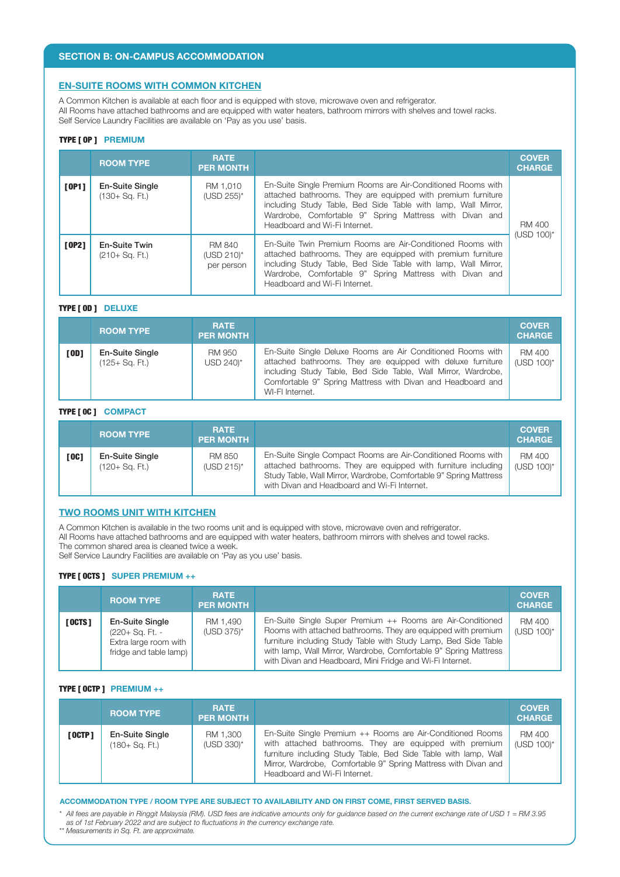## **EN-SUITE ROOMS WITH COMMON KITCHEN**

A Common Kitchen is available at each floor and is equipped with stove, microwave oven and refrigerator. All Rooms have attached bathrooms and are equipped with water heaters, bathroom mirrors with shelves and towel racks. Self Service Laundry Facilities are available on 'Pay as you use' basis.

#### TYPE [ OP ] **PREMIUM**

|       | <b>ROOM TYPE</b>                          | <b>RATE</b><br><b>PER MONTH</b>           |                                                                                                                                                                                                                                                                                           | <b>COVER</b><br><b>CHARGE</b> |  |
|-------|-------------------------------------------|-------------------------------------------|-------------------------------------------------------------------------------------------------------------------------------------------------------------------------------------------------------------------------------------------------------------------------------------------|-------------------------------|--|
| [OP1] | <b>En-Suite Single</b><br>(130+ Sg. Ft.)  | RM 1.010<br>(USD 255)*                    | En-Suite Single Premium Rooms are Air-Conditioned Rooms with<br>attached bathrooms. They are equipped with premium furniture<br>including Study Table, Bed Side Table with lamp, Wall Mirror,<br>Wardrobe, Comfortable 9" Spring Mattress with Divan and<br>Headboard and Wi-Fi Internet. | RM 400<br>(USD 100)*          |  |
| [OP2] | <b>En-Suite Twin</b><br>$(210 + Sq. Ft.)$ | <b>RM 840</b><br>(USD 210)*<br>per person | En-Suite Twin Premium Rooms are Air-Conditioned Rooms with<br>attached bathrooms. They are equipped with premium furniture<br>including Study Table, Bed Side Table with lamp, Wall Mirror,<br>Wardrobe, Comfortable 9" Spring Mattress with Divan and<br>Headboard and Wi-Fi Internet.   |                               |  |

## TYPE [ OD ] **DELUXE**

|        | <b>ROOM TYPE</b>                  | <b>RATE</b><br><b>PER MONTH</b> |                                                                                                                                                                                                                                                                               | <b>COVER</b><br><b>CHARGE</b> |
|--------|-----------------------------------|---------------------------------|-------------------------------------------------------------------------------------------------------------------------------------------------------------------------------------------------------------------------------------------------------------------------------|-------------------------------|
| [ OD ] | En-Suite Single<br>(125+ Sq. Ft.) | RM 950<br>USD 240)*             | En-Suite Single Deluxe Rooms are Air Conditioned Rooms with<br>attached bathrooms. They are equipped with deluxe furniture<br>including Study Table, Bed Side Table, Wall Mirror, Wardrobe,<br>Comfortable 9" Spring Mattress with Divan and Headboard and<br>WI-FI Internet. | RM 400<br>(USD 100)*          |

## TYPE [ 0C ] **COMPACT**

|        | <b>ROOM TYPE</b>                         | <b>RATE</b><br><b>PER MONTH</b> |                                                                                                                                                                                                                                                      | <b>COVER</b><br><b>CHARGE</b> |
|--------|------------------------------------------|---------------------------------|------------------------------------------------------------------------------------------------------------------------------------------------------------------------------------------------------------------------------------------------------|-------------------------------|
| [ OC ] | <b>En-Suite Single</b><br>(120+ Sg. Ft.) | RM 850<br>$(USD 215)^*$         | En-Suite Single Compact Rooms are Air-Conditioned Rooms with<br>attached bathrooms. They are equipped with furniture including<br>Study Table, Wall Mirror, Wardrobe, Comfortable 9" Spring Mattress<br>with Divan and Headboard and Wi-Fi Internet. | RM 400<br>$(USD 100)^*$       |

## **TWO ROOMS UNIT WITH KITCHEN**

A Common Kitchen is available in the two rooms unit and is equipped with stove, microwave oven and refrigerator.

All Rooms have attached bathrooms and are equipped with water heaters, bathroom mirrors with shelves and towel racks.

The common shared area is cleaned twice a week.

Self Service Laundry Facilities are available on 'Pay as you use' basis.

## TYPE [ OCTS ] **SUPER PREMIUM ++**

|          | <b>ROOM TYPE</b>                                                                      | <b>RATE</b><br><b>PER MONTH</b> |                                                                                                                                                                                                                                                                                                                                 | <b>COVER</b><br><b>CHARGE</b> |
|----------|---------------------------------------------------------------------------------------|---------------------------------|---------------------------------------------------------------------------------------------------------------------------------------------------------------------------------------------------------------------------------------------------------------------------------------------------------------------------------|-------------------------------|
| [ OCTS ] | En-Suite Single<br>(220+ Sq. Ft. -<br>Extra large room with<br>fridge and table lamp) | RM 1,490<br>(USD 375)*          | En-Suite Single Super Premium ++ Rooms are Air-Conditioned<br>Rooms with attached bathrooms. They are equipped with premium<br>furniture including Study Table with Study Lamp, Bed Side Table<br>with lamp, Wall Mirror, Wardrobe, Comfortable 9" Spring Mattress<br>with Divan and Headboard, Mini Fridge and Wi-Fi Internet. | RM 400<br>$(USD 100)^*$       |

# TYPE [ OCTP ] **PREMIUM ++**

|          | <b>ROOM TYPE</b>                            | <b>RATE</b><br><b>PER MONTH</b> |                                                                                                                                                                                                                                                                                              | <b>COVER</b><br><b>CHARGE</b> |
|----------|---------------------------------------------|---------------------------------|----------------------------------------------------------------------------------------------------------------------------------------------------------------------------------------------------------------------------------------------------------------------------------------------|-------------------------------|
| [ OCTP ] | <b>En-Suite Single</b><br>$(180 + Sq. Ft.)$ | RM 1,300<br>(USD 330)*          | En-Suite Single Premium ++ Rooms are Air-Conditioned Rooms<br>with attached bathrooms. They are equipped with premium<br>furniture including Study Table, Bed Side Table with lamp, Wall<br>Mirror, Wardrobe, Comfortable 9" Spring Mattress with Divan and<br>Headboard and Wi-Fi Internet. | RM 400<br>$(USD 100)^*$       |

#### **ACCOMMODATION TYPE / ROOM TYPE ARE SUBJECT TO AVAILABILITY AND ON FIRST COME, FIRST SERVED BASIS.**

*\* All fees are payable in Ringgit Malaysia (RM). USD fees are indicative amounts only for guidance based on the current exchange rate of USD 1 = RM 3.95 as of 1st February 2022 and are subject to fluctuations in the currency exchange rate.*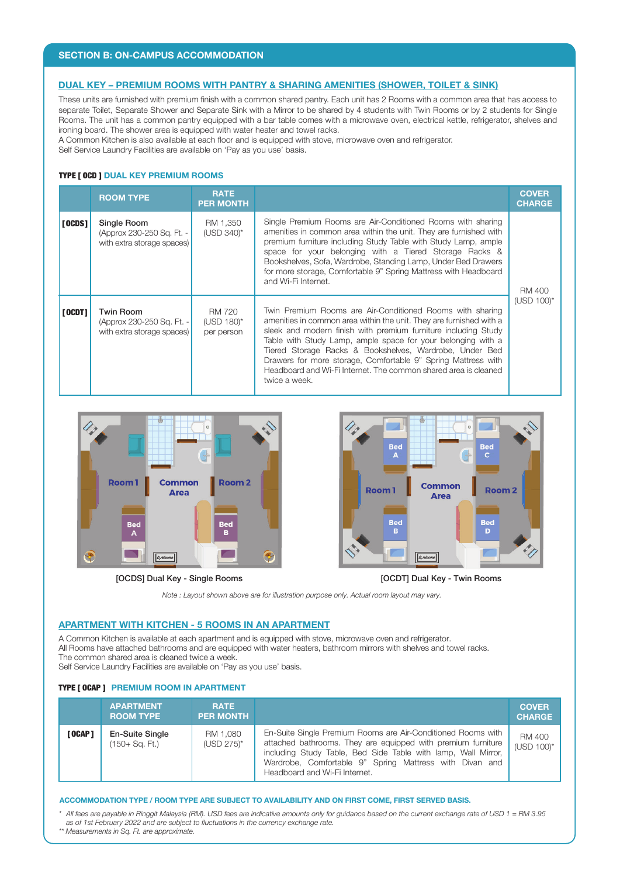## **SECTION B: ON-CAMPUS ACCOMMODATION**

## **DUAL KEY – PREMIUM ROOMS WITH PANTRY & SHARING AMENITIES (SHOWER, TOILET & SINK)**

These units are furnished with premium finish with a common shared pantry. Each unit has 2 Rooms with a common area that has access to separate Toilet, Separate Shower and Separate Sink with a Mirror to be shared by 4 students with Twin Rooms or by 2 students for Single Rooms. The unit has a common pantry equipped with a bar table comes with a microwave oven, electrical kettle, refrigerator, shelves and ironing board. The shower area is equipped with water heater and towel racks.

A Common Kitchen is also available at each floor and is equipped with stove, microwave oven and refrigerator.

Self Service Laundry Facilities are available on 'Pay as you use' basis.

## TYPE [ OCD ] **DUAL KEY PREMIUM ROOMS**

|               | <b>ROOM TYPE</b>                                                            | <b>RATE</b><br><b>PER MONTH</b>           |                                                                                                                                                                                                                                                                                                                                                                                                                                                                                    | <b>COVER</b><br><b>CHARGE</b> |
|---------------|-----------------------------------------------------------------------------|-------------------------------------------|------------------------------------------------------------------------------------------------------------------------------------------------------------------------------------------------------------------------------------------------------------------------------------------------------------------------------------------------------------------------------------------------------------------------------------------------------------------------------------|-------------------------------|
| <b>[OCDS]</b> | Single Room<br>(Approx 230-250 Sq. Ft. -<br>with extra storage spaces)      | RM 1.350<br>(USD 340)*                    | Single Premium Rooms are Air-Conditioned Rooms with sharing<br>amenities in common area within the unit. They are furnished with<br>premium furniture including Study Table with Study Lamp, ample<br>space for your belonging with a Tiered Storage Racks &<br>Bookshelves, Sofa, Wardrobe, Standing Lamp, Under Bed Drawers<br>for more storage, Comfortable 9" Spring Mattress with Headboard<br>and Wi-Fi Internet.                                                            | <b>RM 400</b>                 |
| [00D]         | <b>Twin Room</b><br>(Approx 230-250 Sq. Ft. -<br>with extra storage spaces) | <b>RM 720</b><br>(USD 180)*<br>per person | Twin Premium Rooms are Air-Conditioned Rooms with sharing<br>amenities in common area within the unit. They are furnished with a<br>sleek and modern finish with premium furniture including Study<br>Table with Study Lamp, ample space for your belonging with a<br>Tiered Storage Racks & Bookshelves, Wardrobe, Under Bed<br>Drawers for more storage, Comfortable 9" Spring Mattress with<br>Headboard and Wi-Fi Internet. The common shared area is cleaned<br>twice a week. | (USD 100)*                    |



[OCDS] Dual Key - Single Rooms



[OCDT] Dual Key - Twin Rooms

*Note : Layout shown above are for illustration purpose only. Actual room layout may vary.*

## **APARTMENT WITH KITCHEN - 5 ROOMS IN AN APARTMENT**

A Common Kitchen is available at each apartment and is equipped with stove, microwave oven and refrigerator. All Rooms have attached bathrooms and are equipped with water heaters, bathroom mirrors with shelves and towel racks. The common shared area is cleaned twice a week. Self Service Laundry Facilities are available on 'Pay as you use' basis.

# TYPE [ OCAP ] **PREMIUM ROOM IN APARTMENT**

|                 | <b>APARTMENT</b><br><b>ROOM TYPE</b>        | <b>RATE</b><br><b>PER MONTH</b> |                                                                                                                                                                                                                                                                                           | <b>COVER</b><br><b>CHARGE</b>  |
|-----------------|---------------------------------------------|---------------------------------|-------------------------------------------------------------------------------------------------------------------------------------------------------------------------------------------------------------------------------------------------------------------------------------------|--------------------------------|
| [ <b>OCAP</b> ] | <b>En-Suite Single</b><br>$(150 + Sq. Ft.)$ | RM 1,080<br>(USD 275)*          | En-Suite Single Premium Rooms are Air-Conditioned Rooms with<br>attached bathrooms. They are equipped with premium furniture<br>including Study Table, Bed Side Table with lamp, Wall Mirror,<br>Wardrobe, Comfortable 9" Spring Mattress with Divan and<br>Headboard and Wi-Fi Internet. | <b>RM 400</b><br>$(USD 100)^*$ |

#### **ACCOMMODATION TYPE / ROOM TYPE ARE SUBJECT TO AVAILABILITY AND ON FIRST COME, FIRST SERVED BASIS.**

*\* All fees are payable in Ringgit Malaysia (RM). USD fees are indicative amounts only for guidance based on the current exchange rate of USD 1 = RM 3.95 as of 1st February 2022 and are subject to fluctuations in the currency exchange rate.*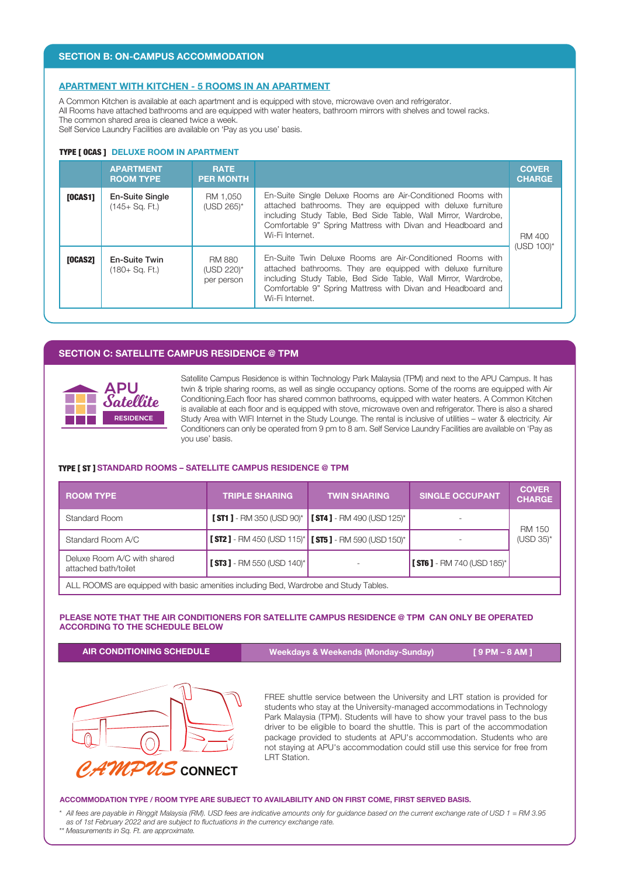## **APARTMENT WITH KITCHEN - 5 ROOMS IN AN APARTMENT**

A Common Kitchen is available at each apartment and is equipped with stove, microwave oven and refrigerator.

All Rooms have attached bathrooms and are equipped with water heaters, bathroom mirrors with shelves and towel racks. The common shared area is cleaned twice a week.

Self Service Laundry Facilities are available on 'Pay as you use' basis.

#### TYPE [ OCAS ] **DELUXE ROOM IN APARTMENT**

|                | <b>APARTMENT</b><br><b>ROOM TYPE</b>     | <b>RATE</b><br><b>PER MONTH</b>           |                                                                                                                                                                                                                                                                               | <b>COVER</b><br><b>CHARGE</b> |
|----------------|------------------------------------------|-------------------------------------------|-------------------------------------------------------------------------------------------------------------------------------------------------------------------------------------------------------------------------------------------------------------------------------|-------------------------------|
| <b>[OCAS1]</b> | <b>En-Suite Single</b><br>(145+ Sg. Ft.) | RM 1.050<br>(USD 265)*                    | En-Suite Single Deluxe Rooms are Air-Conditioned Rooms with<br>attached bathrooms. They are equipped with deluxe furniture<br>including Study Table, Bed Side Table, Wall Mirror, Wardrobe,<br>Comfortable 9" Spring Mattress with Divan and Headboard and<br>Wi-Fi Internet. | RM 400<br>(USD 100)*          |
| <b>[OCAS2]</b> | En-Suite Twin<br>(180+ Sg. Ft.)          | <b>RM 880</b><br>(USD 220)*<br>per person | En-Suite Twin Deluxe Rooms are Air-Conditioned Rooms with<br>attached bathrooms. They are equipped with deluxe furniture<br>including Study Table, Bed Side Table, Wall Mirror, Wardrobe,<br>Comfortable 9" Spring Mattress with Divan and Headboard and<br>Wi-Fi Internet.   |                               |

## **SECTION C: SATELLITE CAMPUS RESIDENCE @ TPM**



Satellite Campus Residence is within Technology Park Malaysia (TPM) and next to the APU Campus. It has twin & triple sharing rooms, as well as single occupancy options. Some of the rooms are equipped with Air Conditioning.Each floor has shared common bathrooms, equipped with water heaters. A Common Kitchen is available at each floor and is equipped with stove, microwave oven and refrigerator. There is also a shared Study Area with WIFI Internet in the Study Lounge. The rental is inclusive of utilities – water & electricity. Air Conditioners can only be operated from 9 pm to 8 am. Self Service Laundry Facilities are available on 'Pay as you use' basis.

#### TYPE [ ST ] **STANDARD ROOMS – SATELLITE CAMPUS RESIDENCE @ TPM**

| <b>ROOM TYPE</b>                                                                      | <b>TRIPLE SHARING</b>           | <b>TWIN SHARING</b>                                                                       | <b>SINGLE OCCUPANT</b>          | <b>COVER</b><br><b>CHARGE</b> |  |  |
|---------------------------------------------------------------------------------------|---------------------------------|-------------------------------------------------------------------------------------------|---------------------------------|-------------------------------|--|--|
| Standard Room                                                                         | $[ST1]$ - RM 350 (USD 90)*      | $\sqrt{S}$ ST4 ] - RM 490 (USD 125)*                                                      |                                 | <b>RM 150</b>                 |  |  |
| Standard Room A/C                                                                     |                                 | <b>[ST2]</b> - RM 450 (USD 115) <sup>*</sup> <b>[ST5]</b> - RM 590 (USD 150) <sup>*</sup> |                                 | $(USD 35)*$                   |  |  |
| Deluxe Room A/C with shared<br>attached bath/toilet                                   | $[$ ST3 $]$ - RM 550 (USD 140)* |                                                                                           | $ $ [ ST6 ] - RM 740 (USD 185)* |                               |  |  |
| ALL ROOMS are equipped with basic amenities including Bed, Wardrobe and Study Tables. |                                 |                                                                                           |                                 |                               |  |  |

## **PLEASE NOTE THAT THE AIR CONDITIONERS FOR SATELLITE CAMPUS RESIDENCE @ TPM CAN ONLY BE OPERATED ACCORDING TO THE SCHEDULE BELOW**

**AIR CONDITIONING SCHEDULE Weekdays & Weekends (Monday-Sunday) [ 9 PM – 8 AM ]**



FREE shuttle service between the University and LRT station is provided for students who stay at the University-managed accommodations in Technology Park Malaysia (TPM). Students will have to show your travel pass to the bus driver to be eligible to board the shuttle. This is part of the accommodation package provided to students at APU's accommodation. Students who are not staying at APU's accommodation could still use this service for free from LRT Station.

#### **ACCOMMODATION TYPE / ROOM TYPE ARE SUBJECT TO AVAILABILITY AND ON FIRST COME, FIRST SERVED BASIS.**

*\* All fees are payable in Ringgit Malaysia (RM). USD fees are indicative amounts only for guidance based on the current exchange rate of USD 1 = RM 3.95 as of 1st February 2022 and are subject to fluctuations in the currency exchange rate.*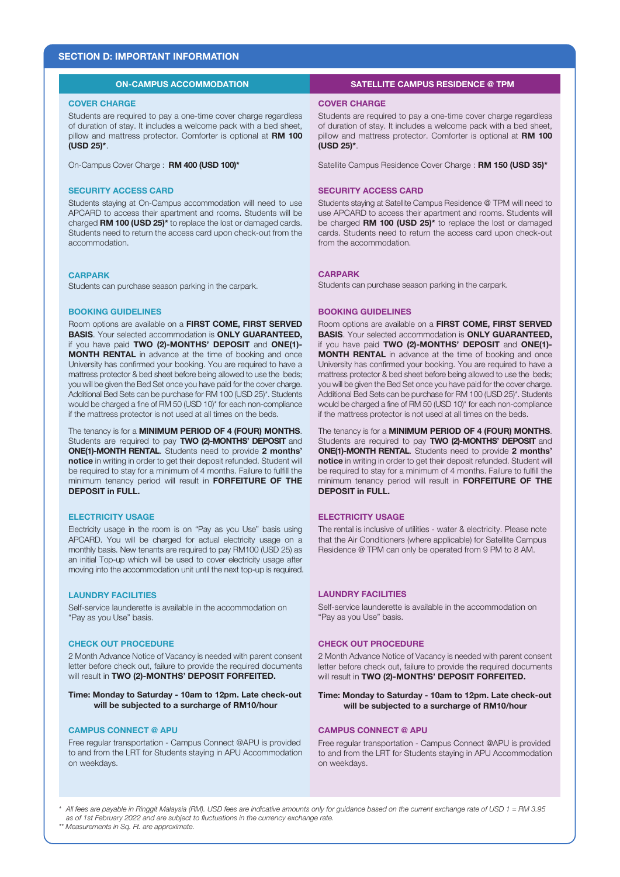# **SECTION D: IMPORTANT INFORMATION**

## **ON-CAMPUS ACCOMMODATION**

## **COVER CHARGE**

Students are required to pay a one-time cover charge regardless of duration of stay. It includes a welcome pack with a bed sheet, pillow and mattress protector. Comforter is optional at **RM 100 (USD 25)\***.

On-Campus Cover Charge : **RM 400 (USD 100)\***

#### **SECURITY ACCESS CARD**

Students staying at On-Campus accommodation will need to use APCARD to access their apartment and rooms. Students will be charged **RM 100 (USD 25)\*** to replace the lost or damaged cards. Students need to return the access card upon check-out from the accommodation.

#### **CARPARK**

Students can purchase season parking in the carpark.

#### **BOOKING GUIDELINES**

Room options are available on a **FIRST COME, FIRST SERVED BASIS**. Your selected accommodation is **ONLY GUARANTEED,**  if you have paid **TWO (2)-MONTHS' DEPOSIT** and **ONE(1)- MONTH RENTAL** in advance at the time of booking and once University has confirmed your booking. You are required to have a mattress protector & bed sheet before being allowed to use the beds; you will be given the Bed Set once you have paid for the cover charge. Additional Bed Sets can be purchase for RM 100 (USD 25)\*. Students would be charged a fine of RM 50 (USD 10)\* for each non-compliance if the mattress protector is not used at all times on the beds.

The tenancy is for a **MINIMUM PERIOD OF 4 (FOUR) MONTHS**. Students are required to pay **TWO (2)-MONTHS' DEPOSIT** and **ONE(1)-MONTH RENTAL**. Students need to provide **2 months' notice** in writing in order to get their deposit refunded. Student will be required to stay for a minimum of 4 months. Failure to fulfill the minimum tenancy period will result in **FORFEITURE OF THE DEPOSIT in FULL.**

#### **ELECTRICITY USAGE**

Electricity usage in the room is on "Pay as you Use" basis using APCARD. You will be charged for actual electricity usage on a monthly basis. New tenants are required to pay RM100 (USD 25) as an initial Top-up which will be used to cover electricity usage after moving into the accommodation unit until the next top-up is required.

#### **LAUNDRY FACILITIES**

Self-service launderette is available in the accommodation on "Pay as you Use" basis.

## **CHECK OUT PROCEDURE**

2 Month Advance Notice of Vacancy is needed with parent consent letter before check out, failure to provide the required documents will result in **TWO (2)-MONTHS' DEPOSIT FORFEITED.**

#### **Time: Monday to Saturday - 10am to 12pm. Late check-out will be subjected to a surcharge of RM10/hour**

#### **CAMPUS CONNECT @ APU**

Free regular transportation - Campus Connect @APU is provided to and from the LRT for Students staying in APU Accommodation on weekdays.

## **SATELLITE CAMPUS RESIDENCE @ TPM**

#### **COVER CHARGE**

Students are required to pay a one-time cover charge regardless of duration of stay. It includes a welcome pack with a bed sheet, pillow and mattress protector. Comforter is optional at **RM 100 (USD 25)\***.

Satellite Campus Residence Cover Charge : **RM 150 (USD 35)\***

### **SECURITY ACCESS CARD**

Students staying at Satellite Campus Residence @ TPM will need to use APCARD to access their apartment and rooms. Students will be charged **RM 100 (USD 25)\*** to replace the lost or damaged cards. Students need to return the access card upon check-out from the accommodation.

#### **CARPARK**

Students can purchase season parking in the carpark.

#### **BOOKING GUIDELINES**

Room options are available on a **FIRST COME, FIRST SERVED BASIS**. Your selected accommodation is **ONLY GUARANTEED,**  if you have paid **TWO (2)-MONTHS' DEPOSIT** and **ONE(1)- MONTH RENTAL** in advance at the time of booking and once University has confirmed your booking. You are required to have a mattress protector & bed sheet before being allowed to use the beds; you will be given the Bed Set once you have paid for the cover charge. Additional Bed Sets can be purchase for RM 100 (USD 25)\*. Students would be charged a fine of RM 50 (USD 10)\* for each non-compliance if the mattress protector is not used at all times on the beds.

The tenancy is for a **MINIMUM PERIOD OF 4 (FOUR) MONTHS**. Students are required to pay **TWO (2)-MONTHS' DEPOSIT** and **ONE(1)-MONTH RENTAL**. Students need to provide **2 months' notice** in writing in order to get their deposit refunded. Student will be required to stay for a minimum of 4 months. Failure to fulfill the minimum tenancy period will result in **FORFEITURE OF THE DEPOSIT in FULL.**

### **ELECTRICITY USAGE**

The rental is inclusive of utilities - water & electricity. Please note that the Air Conditioners (where applicable) for Satellite Campus Residence @ TPM can only be operated from 9 PM to 8 AM.

## **LAUNDRY FACILITIES**

Self-service launderette is available in the accommodation on "Pay as you Use" basis.

#### **CHECK OUT PROCEDURE**

2 Month Advance Notice of Vacancy is needed with parent consent letter before check out, failure to provide the required documents will result in **TWO (2)-MONTHS' DEPOSIT FORFEITED.**

#### **Time: Monday to Saturday - 10am to 12pm. Late check-out will be subjected to a surcharge of RM10/hour**

#### **CAMPUS CONNECT @ APU**

Free regular transportation - Campus Connect @APU is provided to and from the LRT for Students staying in APU Accommodation on weekdays.

*\* All fees are payable in Ringgit Malaysia (RM). USD fees are indicative amounts only for guidance based on the current exchange rate of USD 1 = RM 3.95 as of 1st February 2022 and are subject to fluctuations in the currency exchange rate.*